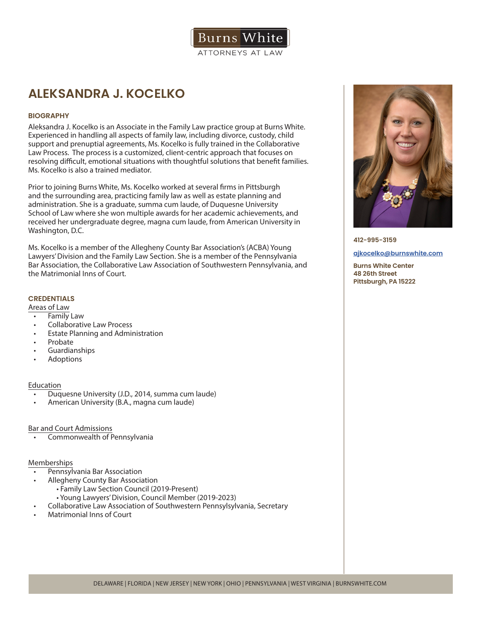

# **ALEKSANDRA J. KOCELKO**

# **BIOGRAPHY**

Aleksandra J. Kocelko is an Associate in the Family Law practice group at Burns White. Experienced in handling all aspects of family law, including divorce, custody, child support and prenuptial agreements, Ms. Kocelko is fully trained in the Collaborative Law Process. The process is a customized, client-centric approach that focuses on resolving difficult, emotional situations with thoughtful solutions that benefit families. Ms. Kocelko is also a trained mediator.

Prior to joining Burns White, Ms. Kocelko worked at several firms in Pittsburgh and the surrounding area, practicing family law as well as estate planning and administration. She is a graduate, summa cum laude, of Duquesne University School of Law where she won multiple awards for her academic achievements, and received her undergraduate degree, magna cum laude, from American University in Washington, D.C.

Ms. Kocelko is a member of the Allegheny County Bar Association's (ACBA) Young Lawyers' Division and the Family Law Section. She is a member of the Pennsylvania Bar Association, the Collaborative Law Association of Southwestern Pennsylvania, and the Matrimonial Inns of Court.

## **CREDENTIALS**

Areas of Law

- **Family Law**
- Collaborative Law Process
- Estate Planning and Administration
- **Probate**
- Guardianships
- **Adoptions**

### Education

- Duquesne University (J.D., 2014, summa cum laude)
- American University (B.A., magna cum laude)

### Bar and Court Admissions

• Commonwealth of Pennsylvania

# Memberships

- Pennsylvania Bar Association
- Allegheny County Bar Association
	- Family Law Section Council (2019-Present)
	- Young Lawyers' Division, Council Member (2019-2023)
	- Collaborative Law Association of Southwestern Pennsylsylvania, Secretary
- Matrimonial Inns of Court



**412-995-3159**

#### **ajkocelko@burnswhite.com**

**Burns White Center 48 26th Street Pittsburgh, PA 15222**